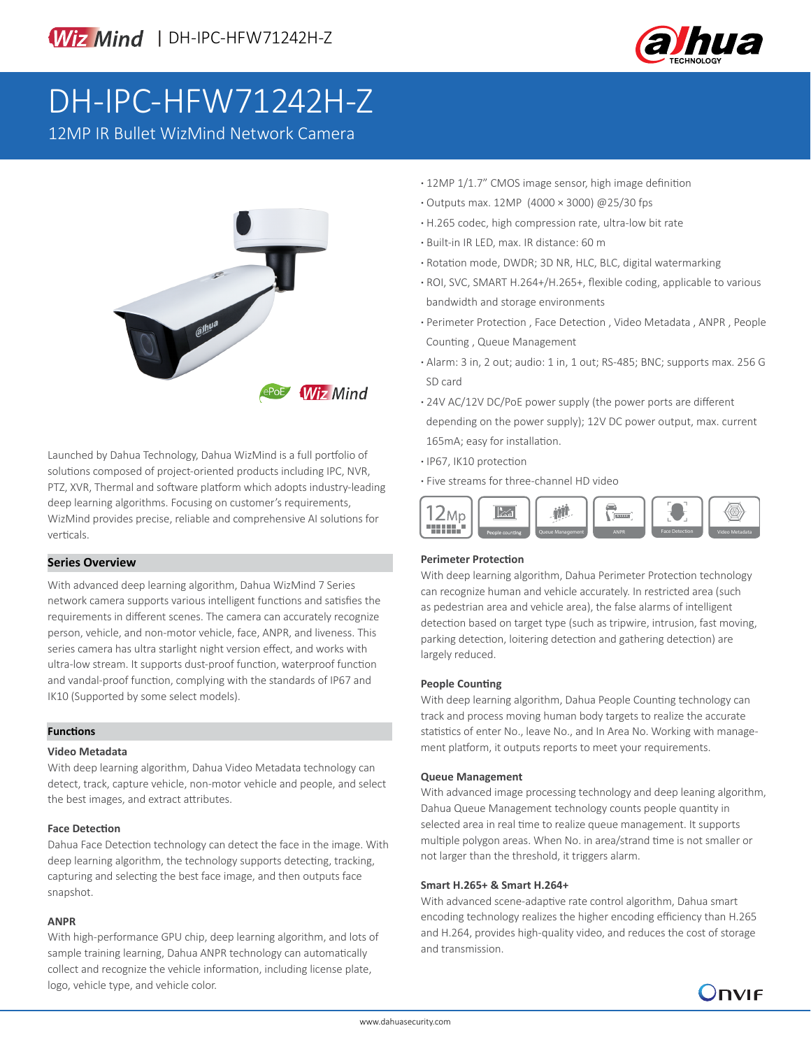

# DH-IPC-HFW71242H-Z

12MP IR Bullet WizMind Network Camera



Launched by Dahua Technology, Dahua WizMind is a full portfolio of solutions composed of project-oriented products including IPC, NVR, PTZ, XVR, Thermal and software platform which adopts industry-leading deep learning algorithms. Focusing on customer's requirements, WizMind provides precise, reliable and comprehensive AI solutions for verticals.

# **Series Overview**

With advanced deep learning algorithm, Dahua WizMind 7 Series network camera supports various intelligent functions and satisfies the requirements in different scenes. The camera can accurately recognize person, vehicle, and non-motor vehicle, face, ANPR, and liveness. This series camera has ultra starlight night version effect, and works with ultra-low stream. It supports dust-proof function, waterproof function and vandal-proof function, complying with the standards of IP67 and IK10 (Supported by some select models).

#### **Functions**

#### **Video Metadata**

With deep learning algorithm, Dahua Video Metadata technology can detect, track, capture vehicle, non-motor vehicle and people, and select the best images, and extract attributes.

# **Face Detection**

Dahua Face Detection technology can detect the face in the image. With deep learning algorithm, the technology supports detecting, tracking, capturing and selecting the best face image, and then outputs face snapshot.

# **ANPR**

With high-performance GPU chip, deep learning algorithm, and lots of sample training learning, Dahua ANPR technology can automatically collect and recognize the vehicle information, including license plate, logo, vehicle type, and vehicle color.

- **·** 12MP 1/1.7" CMOS image sensor, high image definition
- **·** Outputs max. 12MP (4000 × 3000) @25/30 fps
- **·** H.265 codec, high compression rate, ultra-low bit rate
- **·** Built-in IR LED, max. IR distance: 60 m
- **·** Rotation mode, DWDR; 3D NR, HLC, BLC, digital watermarking
- **·** ROI, SVC, SMART H.264+/H.265+, flexible coding, applicable to various bandwidth and storage environments
- **·** Perimeter Protection , Face Detection , Video Metadata , ANPR , People Counting , Queue Management
- **·** Alarm: 3 in, 2 out; audio: 1 in, 1 out; RS-485; BNC; supports max. 256 G SD card
- **·** 24V AC/12V DC/PoE power supply (the power ports are different depending on the power supply); 12V DC power output, max. current 165mA; easy for installation.
- **·** IP67, IK10 protection
- **·** Five streams for three-channel HD video



# **Perimeter Protection**

With deep learning algorithm, Dahua Perimeter Protection technology can recognize human and vehicle accurately. In restricted area (such as pedestrian area and vehicle area), the false alarms of intelligent detection based on target type (such as tripwire, intrusion, fast moving, parking detection, loitering detection and gathering detection) are largely reduced.

#### **People Counting**

With deep learning algorithm, Dahua People Counting technology can track and process moving human body targets to realize the accurate statistics of enter No., leave No., and In Area No. Working with management platform, it outputs reports to meet your requirements.

#### **Queue Management**

With advanced image processing technology and deep leaning algorithm, Dahua Queue Management technology counts people quantity in selected area in real time to realize queue management. It supports multiple polygon areas. When No. in area/strand time is not smaller or not larger than the threshold, it triggers alarm.

#### **Smart H.265+ & Smart H.264+**

With advanced scene-adaptive rate control algorithm, Dahua smart encoding technology realizes the higher encoding efficiency than H.265 and H.264, provides high-quality video, and reduces the cost of storage and transmission.

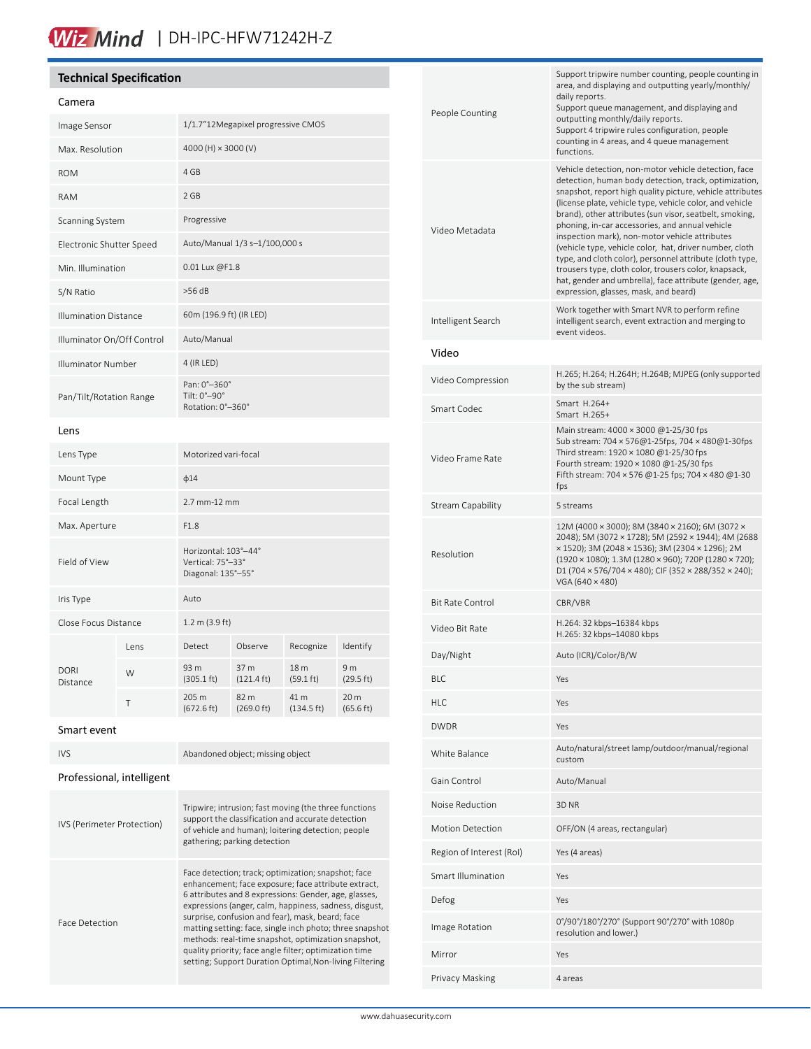# Wiz Mind | DH-IPC-HFW71242H-Z

# **Technical Specification**

# Camera

| Image Sensor                 |      | 1/1.7"12Megapixel progressive CMOS                              |                              |                              |                   |
|------------------------------|------|-----------------------------------------------------------------|------------------------------|------------------------------|-------------------|
| Max. Resolution              |      | 4000 (H) × 3000 (V)                                             |                              |                              |                   |
| <b>ROM</b>                   |      | 4 GB                                                            |                              |                              |                   |
| <b>RAM</b>                   |      | 2 GB                                                            |                              |                              |                   |
| Scanning System              |      | Progressive                                                     |                              |                              |                   |
| Electronic Shutter Speed     |      | Auto/Manual 1/3 s-1/100,000 s                                   |                              |                              |                   |
| Min. Illumination            |      | 0.01 Lux @F1.8                                                  |                              |                              |                   |
| S/N Ratio                    |      | $>56$ dB                                                        |                              |                              |                   |
| <b>Illumination Distance</b> |      | 60m (196.9 ft) (IR LED)                                         |                              |                              |                   |
| Illuminator On/Off Control   |      | Auto/Manual                                                     |                              |                              |                   |
| Illuminator Number           |      | 4 (IR LED)                                                      |                              |                              |                   |
| Pan/Tilt/Rotation Range      |      | Pan: 0°-360°<br>Tilt: 0°-90°<br>Rotation: 0°-360°               |                              |                              |                   |
| Lens                         |      |                                                                 |                              |                              |                   |
| Lens Type                    |      | Motorized vari-focal                                            |                              |                              |                   |
| Mount Type                   |      | $\phi$ 14                                                       |                              |                              |                   |
| Focal Length                 |      | 2.7 mm-12 mm                                                    |                              |                              |                   |
| Max. Aperture                |      | F1.8                                                            |                              |                              |                   |
| Field of View                |      | Horizontal: 103°-44°<br>Vertical: 75°-33°<br>Diagonal: 135°-55° |                              |                              |                   |
| Iris Type                    |      | Auto                                                            |                              |                              |                   |
| Close Focus Distance         |      | $1.2 \text{ m}$ (3.9 ft)                                        |                              |                              |                   |
| <b>DORI</b><br>Distance      | Lens | Detect                                                          | Observe                      | Recognize                    | Identify          |
|                              | W    | 93 m<br>$(305.1 \text{ ft})$                                    | 37 m<br>$(121.4 \text{ ft})$ | 18 m<br>$(59.1 \text{ ft})$  | 9 m<br>(29.5 ft)  |
|                              | T    | 205 m<br>$(672.6 \text{ ft})$                                   | 82 m<br>$(269.0 \text{ ft})$ | 41 m<br>$(134.5 \text{ ft})$ | 20 m<br>(65.6 ft) |
|                              |      |                                                                 |                              |                              |                   |

#### Smart event

| IVS.                       | Abandoned object; missing object                                                                                                                                                                                                                                                                                                                                                                                                                                                                                          |
|----------------------------|---------------------------------------------------------------------------------------------------------------------------------------------------------------------------------------------------------------------------------------------------------------------------------------------------------------------------------------------------------------------------------------------------------------------------------------------------------------------------------------------------------------------------|
| Professional, intelligent  |                                                                                                                                                                                                                                                                                                                                                                                                                                                                                                                           |
| IVS (Perimeter Protection) | Tripwire; intrusion; fast moving (the three functions<br>support the classification and accurate detection<br>of vehicle and human); loitering detection; people<br>gathering; parking detection                                                                                                                                                                                                                                                                                                                          |
| <b>Face Detection</b>      | Face detection; track; optimization; snapshot; face<br>enhancement; face exposure; face attribute extract,<br>6 attributes and 8 expressions: Gender, age, glasses,<br>expressions (anger, calm, happiness, sadness, disgust,<br>surprise, confusion and fear), mask, beard; face<br>matting setting: face, single inch photo; three snapshot<br>methods: real-time snapshot, optimization snapshot,<br>quality priority; face angle filter; optimization time<br>setting; Support Duration Optimal, Non-living Filtering |

| People Counting          | Support tripwire number counting, people counting in<br>area, and displaying and outputting yearly/monthly/<br>daily reports.<br>Support queue management, and displaying and<br>outputting monthly/daily reports.<br>Support 4 tripwire rules configuration, people<br>counting in 4 areas, and 4 queue management<br>functions.                                                                                                                                                                                                                                                                                                                                                          |
|--------------------------|--------------------------------------------------------------------------------------------------------------------------------------------------------------------------------------------------------------------------------------------------------------------------------------------------------------------------------------------------------------------------------------------------------------------------------------------------------------------------------------------------------------------------------------------------------------------------------------------------------------------------------------------------------------------------------------------|
| Video Metadata           | Vehicle detection, non-motor vehicle detection, face<br>detection, human body detection, track, optimization,<br>snapshot, report high quality picture, vehicle attributes<br>(license plate, vehicle type, vehicle color, and vehicle<br>brand), other attributes (sun visor, seatbelt, smoking,<br>phoning, in-car accessories, and annual vehicle<br>inspection mark), non-motor vehicle attributes<br>(vehicle type, vehicle color, hat, driver number, cloth<br>type, and cloth color), personnel attribute (cloth type,<br>trousers type, cloth color, trousers color, knapsack,<br>hat, gender and umbrella), face attribute (gender, age,<br>expression, glasses, mask, and beard) |
| Intelligent Search       | Work together with Smart NVR to perform refine<br>intelligent search, event extraction and merging to<br>event videos.                                                                                                                                                                                                                                                                                                                                                                                                                                                                                                                                                                     |
| Video                    |                                                                                                                                                                                                                                                                                                                                                                                                                                                                                                                                                                                                                                                                                            |
| Video Compression        | H.265; H.264; H.264H; H.264B; MJPEG (only supported<br>by the sub stream)                                                                                                                                                                                                                                                                                                                                                                                                                                                                                                                                                                                                                  |
| Smart Codec              | Smart H.264+<br>Smart H.265+                                                                                                                                                                                                                                                                                                                                                                                                                                                                                                                                                                                                                                                               |
| Video Frame Rate         | Main stream: 4000 × 3000 @1-25/30 fps<br>Sub stream: 704 × 576@1-25fps, 704 × 480@1-30fps<br>Third stream: 1920 × 1080 @1-25/30 fps<br>Fourth stream: 1920 × 1080 @1-25/30 fps<br>Fifth stream: 704 x 576 @1-25 fps; 704 x 480 @1-30<br>fps                                                                                                                                                                                                                                                                                                                                                                                                                                                |
| <b>Stream Capability</b> | 5 streams                                                                                                                                                                                                                                                                                                                                                                                                                                                                                                                                                                                                                                                                                  |
| Resolution               | 12M (4000 × 3000); 8M (3840 × 2160); 6M (3072 ×<br>2048); 5M (3072 × 1728); 5M (2592 × 1944); 4M (2688<br>x 1520); 3M (2048 x 1536); 3M (2304 x 1296); 2M<br>(1920 × 1080); 1.3M (1280 × 960); 720P (1280 × 720);<br>D1 (704 x 576/704 x 480); CIF (352 x 288/352 x 240);<br>VGA (640 × 480)                                                                                                                                                                                                                                                                                                                                                                                               |
| <b>Bit Rate Control</b>  | CBR/VBR                                                                                                                                                                                                                                                                                                                                                                                                                                                                                                                                                                                                                                                                                    |
| Video Bit Rate           | H.264: 32 kbps-16384 kbps<br>H.265: 32 kbps-14080 kbps                                                                                                                                                                                                                                                                                                                                                                                                                                                                                                                                                                                                                                     |
| Day/Night                | Auto (ICR)/Color/B/W                                                                                                                                                                                                                                                                                                                                                                                                                                                                                                                                                                                                                                                                       |
| <b>BLC</b>               | Yes                                                                                                                                                                                                                                                                                                                                                                                                                                                                                                                                                                                                                                                                                        |
| <b>HLC</b>               | Yes                                                                                                                                                                                                                                                                                                                                                                                                                                                                                                                                                                                                                                                                                        |
| <b>DWDR</b>              | Yes                                                                                                                                                                                                                                                                                                                                                                                                                                                                                                                                                                                                                                                                                        |
| White Balance            | Auto/natural/street lamp/outdoor/manual/regional<br>custom                                                                                                                                                                                                                                                                                                                                                                                                                                                                                                                                                                                                                                 |
| Gain Control             | Auto/Manual                                                                                                                                                                                                                                                                                                                                                                                                                                                                                                                                                                                                                                                                                |
| Noise Reduction          | 3D <sub>NR</sub>                                                                                                                                                                                                                                                                                                                                                                                                                                                                                                                                                                                                                                                                           |
| <b>Motion Detection</b>  | OFF/ON (4 areas, rectangular)                                                                                                                                                                                                                                                                                                                                                                                                                                                                                                                                                                                                                                                              |
| Region of Interest (RoI) | Yes (4 areas)                                                                                                                                                                                                                                                                                                                                                                                                                                                                                                                                                                                                                                                                              |
| Smart Illumination       | Yes                                                                                                                                                                                                                                                                                                                                                                                                                                                                                                                                                                                                                                                                                        |
| Defog                    | Yes                                                                                                                                                                                                                                                                                                                                                                                                                                                                                                                                                                                                                                                                                        |
| Image Rotation           | 0°/90°/180°/270° (Support 90°/270° with 1080p<br>resolution and lower.)                                                                                                                                                                                                                                                                                                                                                                                                                                                                                                                                                                                                                    |
| Mirror                   | Yes                                                                                                                                                                                                                                                                                                                                                                                                                                                                                                                                                                                                                                                                                        |
| Privacy Masking          | 4 areas                                                                                                                                                                                                                                                                                                                                                                                                                                                                                                                                                                                                                                                                                    |